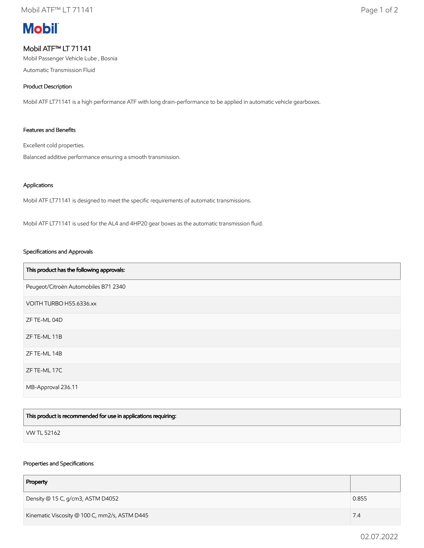# **Mobil**

# Mobil ATF™ LT 71141

Mobil Passenger Vehicle Lube , Bosnia

Automatic Transmission Fluid

## Product Description

Mobil ATF LT71141 is a high performance ATF with long drain-performance to be applied in automatic vehicle gearboxes.

## Features and Benefits

Excellent cold properties.

Balanced additive performance ensuring a smooth transmission.

#### Applications

Mobil ATF LT71141 is designed to meet the specific requirements of automatic transmissions.

Mobil ATF LT71141 is used for the AL4 and 4HP20 gear boxes as the automatic transmission fluid.

#### Specifications and Approvals

| This product has the following approvals: |
|-------------------------------------------|
| Peugeot/Citroën Automobiles B71 2340      |
| VOITH TURBO H55.6336.xx                   |
| ZF TE-ML 04D                              |
| ZF TE-ML 11B                              |
| ZF TE-ML 14B                              |
| ZF TE-ML 17C                              |
| MB-Approval 236.11                        |

| This product is recommended for use in applications requiring: |  |
|----------------------------------------------------------------|--|
| VW TL 52162                                                    |  |

#### Properties and Specifications

| Property                                      |       |
|-----------------------------------------------|-------|
| Density @ 15 C, g/cm3, ASTM D4052             | 0.855 |
| Kinematic Viscosity @ 100 C, mm2/s, ASTM D445 | 7.4   |